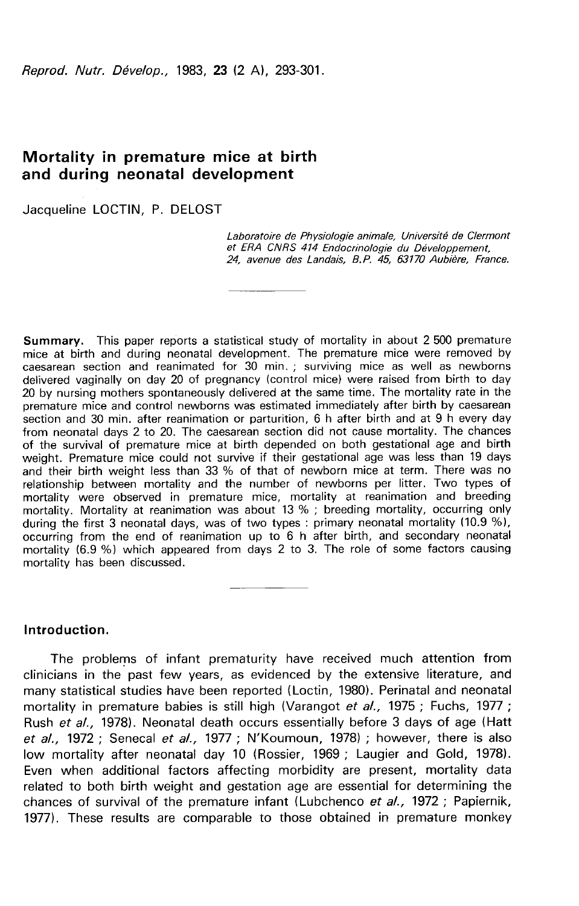Reprod. Nutr. Dévelop., 1983, 23 (2 A), 293-301.

# Mortality in premature mice at birth and during neonatal development

Jacqueline LOCTIN, P. DELOST

Laboratoire de Physiologie animale, Université de Clermont et ERA CNRS 414 Endocrinologie du Développement, 24, avenue des Landais, B.P. 45, 63170 Aubière, France.

**Summary.** This paper reports a statistical study of mortality in about 2 500 premature mice at birth and during neonatal development. The premature mice were removed by caesarean section and reanimated for 30 min. ; surviving mice as well as newborns delivered vaginally on day 20 of pregnancy (control mice) were raised from birth to day 20 by nursing mothers spontaneously delivered at the same time. The mortality rate in the premature mice and control newborns was estimated immediately after birth by caesarean section and 30 min. after reanimation or parturition, 6 h after birth and at 9 h every day from neonatal days 2 to 20. The caesarean section did not cause mortality. The chances of the survival of premature mice at birth depended on both gestational age and birth weight. Premature mice could not survive if their gestational age was less than 19 days and their birth weight less than 33 % of that of newborn mice at term. There was no relationship between mortality and the number of newborns per litter. Two types of mortality were observed in premature mice, mortality at reanimation and breeding mortality. Mortality at reanimation was about 13 % ; breeding mortality, occurring only during the first 3 neonatal days, was of two types : primary neonatal mortality (10.9 %), occurring from the end of reanimation up to 6 h after birth, and secondary neonatal mortality (6.9 %) which appeared from days 2 to 3. The role of some factors causing mortality has been discussed.

## Introduction.

The problems of infant prematurity have received much attention from clinicians in the past few years, as evidenced by the extensive literature, and many statistical studies have been reported (Loctin, 1980). Perinatal and neonatal mortality in premature babies is still high (Varangot et al., 1975; Fuchs, 1977; Rush et al., 1978). Neonatal death occurs essentially before 3 days of age (Hatt et al., 1972 ; Senecal et al., 1977 ; N'Koumoun, 1978) ; however, there is also low mortality after neonatal day 10 (Rossier, 1969 ; Laugier and Gold, 1978). Even when additional factors affecting morbidity are present, mortality data related to both birth weight and gestation age are essential for determining the chances of survival of the premature infant (Lubchenco et al., 1972 ; Papiernik, 1977). These results are comparable to those obtained in premature monkey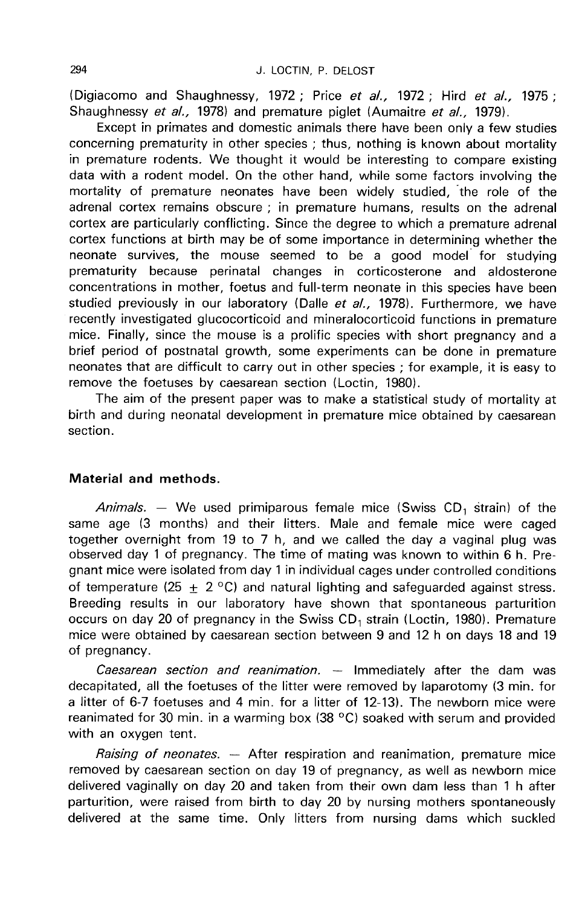(Digiacomo and Shaughnessy, 1972 ; Price et al., 1972 ; Hird et al., 1975 ; Shaughnessy et al., 1978) and premature piglet (Aumaitre et al., 1979).

Except in primates and domestic animals there have been only a few studies concerning prematurity in other species ; thus, nothing is known about mortality in premature rodents. We thought it would be interesting to compare existing data with a rodent model. On the other hand, while some factors involving the mortality of premature neonates have been widely studied, the role of the adrenal cortex remains obscure ; in premature humans, results on the adrenal cortex are particularly conflicting. Since the degree to which a premature adrenal cortex functions at birth may be of some importance in determining whether the neonate survives, the mouse seemed to be a good model for studying prematurity because perinatal changes in corticosterone and aldosterone concentrations in mother, foetus and full-term neonate in this species have been studied previously in our laboratory (Dalle et al., 1978). Furthermore, we have recently investigated glucocorticoid and mineralocorticoid functions in premature mice. Finally, since the mouse is a prolific species with short pregnancy and a brief period of postnatal growth, some experiments can be done in premature neonates that are difficult to carry out in other species ; for example, it is easy to remove the foetuses by caesarean section (Loctin, 1980).

The aim of the present paper was to make a statistical study of mortality at birth and during neonatal development in premature mice obtained by caesarean section.

## Material and methods.

Animals. — We used primiparous female mice (Swiss  $CD_1$  strain) of the same age (3 months) and their litters. Male and female mice were caged together overnight from 19 to 7 h, and we called the day a vaginal plug was observed day 1 of pregnancy. The time of mating was known to within 6 h. Pregnant mice were isolated from day 1 in individual cages under controlled conditions of temperature (25  $\pm$  2 °C) and natural lighting and safeguarded against stress. Breeding results in our laboratory have shown that spontaneous parturition occurs on day 20 of pregnancy in the Swiss  $CD_1$  strain (Loctin, 1980). Premature mice were obtained by caesarean section between 9 and 12 h on days 18 and 19 of pregnancy.

Caesarean section and reanimation. — Immediately after the dam was decapitated, all the foetuses of the litter were removed by laparotomy (3 min. for a litter of 6-7 foetuses and 4 min. for a litter of 12-13). The newborn mice were reanimated for 30 min. in a warming box  $(38 \degree C)$  soaked with serum and provided with an oxygen tent.

Raising of neonates.  $-$  After respiration and reanimation, premature mice removed by caesarean section on day 19 of pregnancy, as well as newborn mice delivered vaginally on day 20 and taken from their own dam less than 1 h after parturition, were raised from birth to day 20 by nursing mothers spontaneously delivered at the same time. Only litters from nursing dams which suckled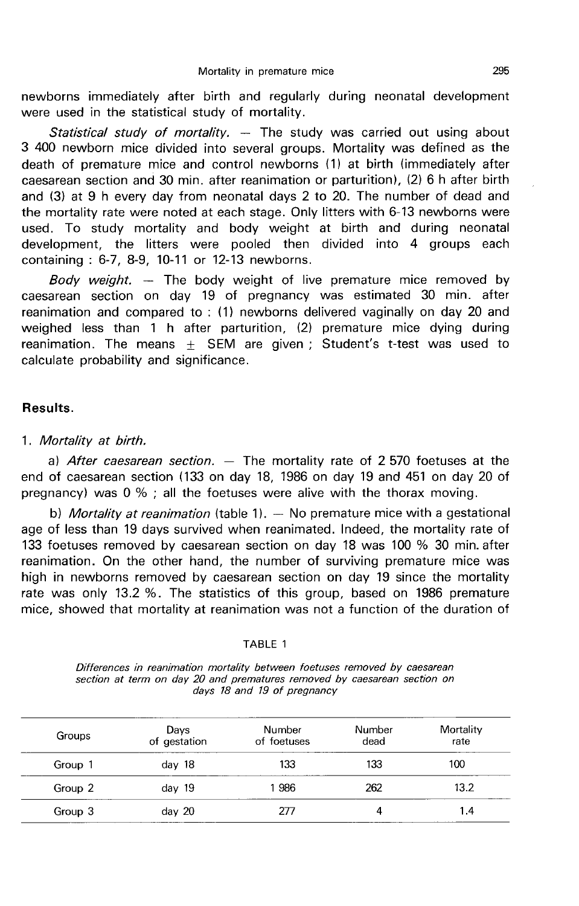newborns immediately after birth and regularly during neonatal development were used in the statistical study of mortality.

Statistical study of mortality.  $-$  The study was carried out using about 3 400 newborn mice divided into several groups. Mortality was defined as the death of premature mice and control newborns (1) at birth (immediately after caesarean section and 30 min. after reanimation or parturition), (2) 6 h after birth and (3) at 9 h every day from neonatal days 2 to 20. The number of dead and the mortality rate were noted at each stage. Only litters with 6-13 newborns were used. To study mortality and body weight at birth and during neonatal development, the litters were pooled then divided into 4 groups each containing : 6-7, 8-9, 10-11 or 12-13 newborns.

Body weight.  $-$  The body weight of live premature mice removed by caesarean section on day 19 of pregnancy was estimated 30 min. after reanimation and compared to : (1) newborns delivered vaginally on day 20 and weighed less than 1 h after parturition, (2) premature mice dying during<br>reanimation. The means + SEM are given ; Student's t-test was used to *Body weight.* — The body weight of live premature mice removed by caesarean section on day 19 of pregnancy was estimated 30 min. after reanimation and compared to : (1) newborns delivered vaginally on day 20 and weighed calculate probability and significance.

## Results.

## 1. Mortality at birth.

a) After caesarean section.  $-$  The mortality rate of 2 570 foetuses at the end of caesarean section (133 on day 18, 1986 on day 19 and 451 on day 20 of pregnancy) was 0 % ; all the foetuses were alive with the thorax moving.

b) Mortality at reanimation (table 1). - No premature mice with a gestational age of less than 19 days survived when reanimated. Indeed, the mortality rate of 133 foetuses removed by caesarean section on day 18 was 100 % 30 min. after reanimation. On the other hand, the number of surviving premature mice was high in newborns removed by caesarean section on day 19 since the mortality rate was only 13.2 %. The statistics of this group, based on 1986 premature mice, showed that mortality at reanimation was not a function of the duration of

### TABLE 1

Differences in reanimation mortality between foetuses removed by caesarean section at term on day 20 and prematures removed by caesarean section on days 18 and 19 of pregnancy

| Groups  | Days<br>of gestation | Number<br>of foetuses | Number<br>dead | Mortality<br>rate |
|---------|----------------------|-----------------------|----------------|-------------------|
| Group 1 | day $18$             | 133                   | 133            | 100               |
| Group 2 | day $19$             | 1986                  | 262            | 13.2              |
| Group 3 | day $20$             | 277                   |                | 1.4               |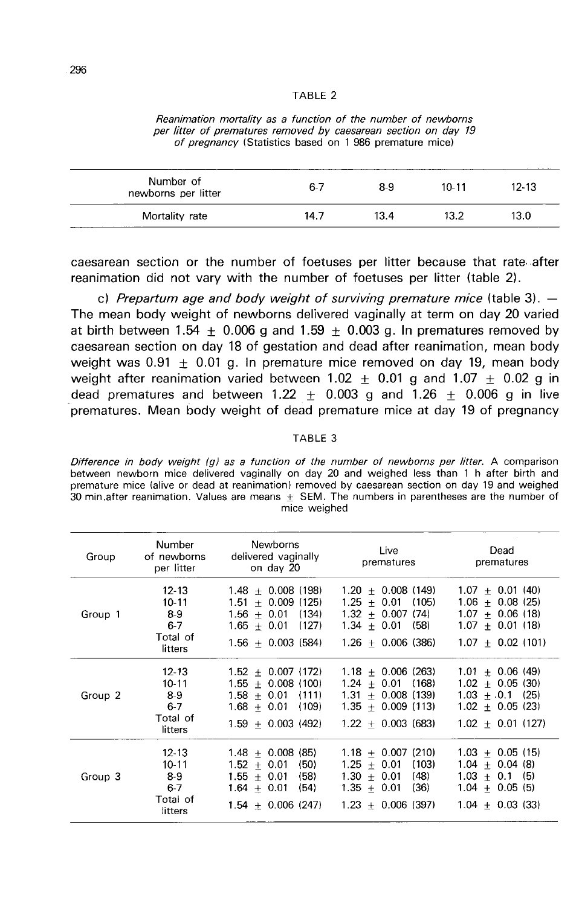### TABLE<sub>2</sub>

| por needs of profilement of the road by bacoult barr boomers and the life | of pregnancy (Statistics based on 1986 premature mice) |      |         |           |  |  |  |
|---------------------------------------------------------------------------|--------------------------------------------------------|------|---------|-----------|--|--|--|
| Number of<br>newborns per litter                                          | $6-7$                                                  | 8-9  | $10-11$ | $12 - 13$ |  |  |  |
| Mortality rate                                                            | 14.7                                                   | 13.4 | 13.2    | 13.0      |  |  |  |

Reanimation mortality as a function of the number of newborns per litter of prematures removed by caesarean section on day 19

c) Prepartum age and body weight of surviving premature mice (table 3).  $-$ The mean body weight of newborns delivered vaginally at term on day 20 varied at birth between 1.54  $\pm$  0.006 g and 1.59  $\pm$  0.003 g. In prematures removed by caesarean section on day 18 of gestation and dead after reanimation, mean body weight was  $0.91 + 0.01$  g. In premature mice removed on day 19, mean body weight after reanimation varied between 1.02  $\pm$  0.01 g and 1.07  $\pm$  0.02 g in dead prematures and between 1.22  $+$  0.003 g and 1.26  $+$  0.006 g in live prematures. Mean body weight of dead premature mice at day 19 of pregnancy

#### TABLE 3

Difference in body weight (g) as a function of the number of newborns per litter. A comparison between newborn mice delivered vaginally on day 20 and weighed less than 1 h after birth and premature mice (alive or dead at reanimation) removed by caesarean section on day 19 and weighed 30 min after reanimation. Values are means  $\pm$  SEM. The numbers in parentheses are the number of mice weighed

| Group   | Number<br>of newborns<br>per litter                               | Newborns<br>delivered vaginally<br>on day 20                                                                                                 | Live<br>prematures                                                                                                            | Dead<br>prematures                                                                                                    |
|---------|-------------------------------------------------------------------|----------------------------------------------------------------------------------------------------------------------------------------------|-------------------------------------------------------------------------------------------------------------------------------|-----------------------------------------------------------------------------------------------------------------------|
| Group 1 | $12 - 13$<br>$10 - 11$<br>$8-9$<br>$6 - 7$<br>Total of<br>litters | $1.48 + 0.008(198)$<br>$+$ 0.009 (125)<br>1.51<br>$1.56 + 0.01$<br>(134)<br>$1.65 + 0.01$<br>(127)<br>$1.56 + 0.003(584)$                    | $1.20 + 0.008(149)$<br>0.01<br>(105)<br>1.25<br>$+$<br>$1.32 \pm 0.007$ (74)<br>$1.34 + 0.01$<br>(58)<br>$1.26 + 0.006$ (386) | $1.07 + 0.01(40)$<br>$+ 0.08(25)$<br>1.06<br>$+ 0.06(18)$<br>1.07<br>1.07<br>$+ 0.01(18)$<br>$1.07 \pm 0.02$ (101)    |
| Group 2 | $12 - 13$<br>$10 - 11$<br>$8-9$<br>$6 - 7$<br>Total of<br>litters | $1.52 \pm 0.007$ (172)<br>1.55<br>0.008(100)<br>土<br>1.58<br>0.01<br>(111)<br>$+$<br>1.68<br>(109)<br>0.01<br>$+$<br>1.59<br>$+$ 0.003 (492) | $1.18 + 0.006(263)$<br>(168)<br>$1.24 + 0.01$<br>$+$ 0.008 (139)<br>1.31<br>$1.35 + 0.009(113)$<br>$1.22 + 0.003(683)$        | $+$ 0.06 (49)<br>1.01<br>$+ 0.05(30)$<br>1.02<br>$1.03 + .0.1$<br>(25)<br>$1.02 \pm 0.05$ (23)<br>$1.02 + 0.01$ (127) |
| Group 3 | $12 - 13$<br>$10 - 11$<br>$8-9$<br>$6 - 7$<br>Total of<br>litters | 0.008(85)<br>$1.48 +$<br>$1.52 +$<br>(50)<br>0.01<br>$1.55 +$<br>(58)<br>0.01<br>$1.64 +$<br>(54)<br>0.01<br>0.006(247)<br>$1.54 +$          | $1.18 + 0.007(210)$<br>(103)<br>1.25<br>$+ 0.01$<br>1.30<br>(48)<br>$+ 0.01$<br>(36)<br>$1.35 + 0.01$<br>$1.23 + 0.006(397)$  | $+ 0.05(15)$<br>1.03<br>$+ 0.04(8)$<br>1.04<br>1.03<br>(5)<br>$+0.1$<br>$1.04 + 0.05(5)$<br>$1.04 + 0.03(33)$         |

caesarean section or the number of foetuses per litter because that rate..after reanimation did not vary with the number of foetuses per litter (table 2).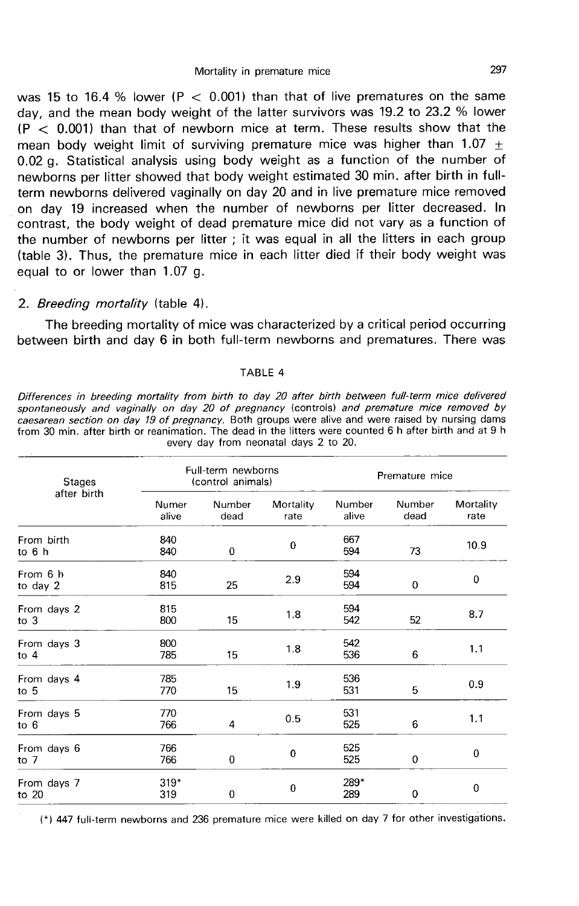was 15 to 16.4 % lower ( $P < 0.001$ ) than that of live prematures on the same day, and the mean body weight of the latter survivors was 19.2 to 23.2 % lower  $(P < 0.001)$  than that of newborn mice at term. These results show that the mean body weight limit of surviving premature mice was higher than 1.07  $\pm$ 0.02 g. Statistical analysis using body weight as a function of the number of newborns per litter showed that body weight estimated 30 min. after birth in fullterm newborns delivered vaginally on day 20 and in live premature mice removed on day 19 increased when the number of newborns per litter decreased. In contrast, the body weight of dead premature mice did not vary as a function of the number of newborns per litter ; it was equal in all the litters in each group (table 3). Thus, the premature mice in each litter died if their body weight was equal to or lower than 1.07 g.

## 2. Breeding mortality (table 4).

The breeding mortality of mice was characterized by a critical period occurring between birth and day 6 in both full-term newborns and prematures. There was

### TABLE 4

Differences in breeding mortality from birth to day 20 after birth between full-term mice delivered spontaneously and vaginally on day 20 of pregnancy (controls) and premature mice removed by caesarean section on day 19 of pregnancy. Both groups were alive and were raised by nursing dams from 30 min, after birth or reanimation. The dead in the litters were counted 6 h after birth and at 9 h every day from neonatal days 2 to 20.

| <b>Stages</b><br>after birth | Full-term newborns<br>(control animals) |                |                   | Premature mice  |                |                   |
|------------------------------|-----------------------------------------|----------------|-------------------|-----------------|----------------|-------------------|
|                              | Numer<br>alive                          | Number<br>dead | Mortality<br>rate | Number<br>alive | Number<br>dead | Mortality<br>rate |
| From birth<br>to 6 h         | 840<br>840                              | $\bf{0}$       | 0                 | 667<br>594      | 73             | 10.9              |
| From 6 h<br>to day 2         | 840<br>815                              | 25             | 2.9               | 594<br>594      | $\mathbf 0$    | 0                 |
| From days 2<br>to $3$        | 815<br>800                              | 15             | 1.8               | 594<br>542      | 52             | 8.7               |
| From days 3<br>to $4$        | 800<br>785                              | 15             | 1.8               | 542<br>536      | 6              | 1.1               |
| From days 4<br>$to$ 5        | 785<br>770                              | 15             | 1.9               | 536<br>531      | 5              | 0.9               |
| From days 5<br>to $6$        | 770<br>766                              | 4              | 0.5               | 531<br>525      | 6              | 1.1               |
| From days 6<br>to $7$        | 766<br>766                              | $\bf{0}$       | 0                 | 525<br>525      | $\mathbf 0$    | $\mathbf 0$       |
| From days 7<br>to 20         | $319*$<br>319                           | 0              | 0                 | 289*<br>289     | 0              | 0                 |

(\*) 447 full-term newborns and 236 premature mice were killed on day 7 for other investigations.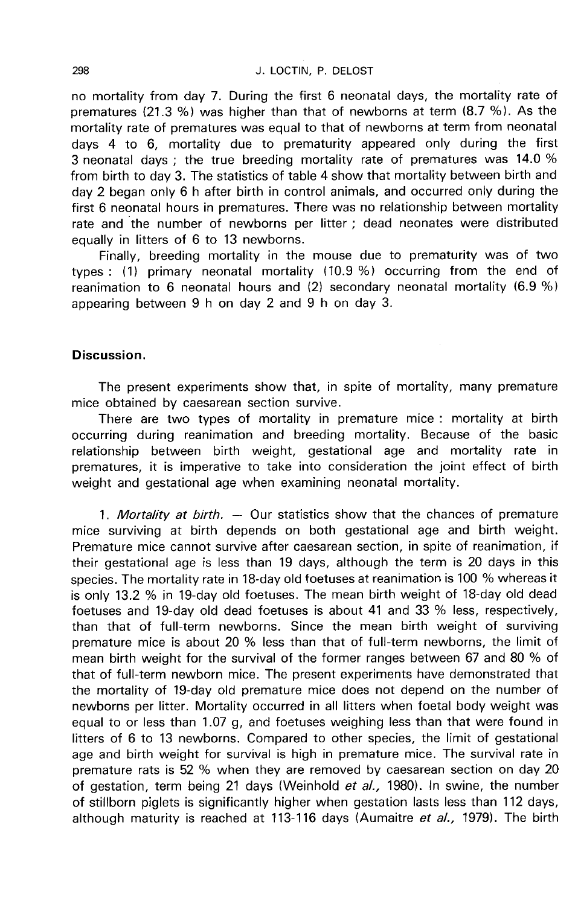## J. LOCTIN, P. DELOST

no mortality from day 7. During the first 6 neonatal days, the mortality rate of prematures  $(21.3 \%)$  was higher than that of newborns at term  $(8.7 \%)$ . As the mortality rate of prematures was equal to that of newborns at term from neonatal days 4 to 6, mortality due to prematurity appeared only during the first 3 neonatal days ; the true breeding mortality rate of prematures was 14.0 % from birth to day 3. The statistics of table 4 show that mortality between birth and day 2 began only 6 h after birth in control animals, and occurred only during the first 6 neonatal hours in prematures. There was no relationship between mortality rate and the number of newborns per litter ; dead neonates were distributed equally in litters of 6 to 13 newborns.

Finally, breeding mortality in the mouse due to prematurity was of two types : (1) primary neonatal mortality (10.9 %) occurring from the end of reanimation to 6 neonatal hours and (2) secondary neonatal mortality (6.9 %) appearing between 9 h on day 2 and 9 h on day 3.

## Discussion.

The present experiments show that, in spite of mortality, many premature mice obtained by caesarean section survive.

There are two types of mortality in premature mice : mortality at birth occurring during reanimation and breeding mortality. Because of the basic relationship between birth weight, gestational age and mortality rate in prematures, it is imperative to take into consideration the joint effect of birth weight and gestational age when examining neonatal mortality.

1. Mortality at birth.  $-$  Our statistics show that the chances of premature mice surviving at birth depends on both gestational age and birth weight. Premature mice cannot survive after caesarean section, in spite of reanimation, if their gestational age is less than 19 days, although the term is 20 days in this species. The mortality rate in 18-day old foetuses at reanimation is 100 % whereas it is only 13.2 % in 19-day old foetuses. The mean birth weight of 18-day old dead foetuses and 19-day old dead foetuses is about 41 and 33 % less, respectively, than that of full-term newborns. Since the mean birth weight of surviving premature mice is about 20 % less than that of full-term newborns, the limit of mean birth weight for the survival of the former ranges between 67 and 80 % of that of full-term newborn mice. The present experiments have demonstrated that the mortality of 19-day old premature mice does not depend on the number of newborns per litter. Mortality occurred in all litters when foetal body weight was equal to or less than 1.07 g, and foetuses weighing less than that were found in litters of 6 to 13 newborns. Compared to other species, the limit of gestational age and birth weight for survival is high in premature mice. The survival rate in premature rats is 52 % when they are removed by caesarean section on day 20 of gestation, term being 21 days (Weinhold et al., 1980). In swine, the number of stillborn piglets is significantly higher when gestation lasts less than 112 days, although maturity is reached at 113-116 days (Aumaitre et al., 1979). The birth

298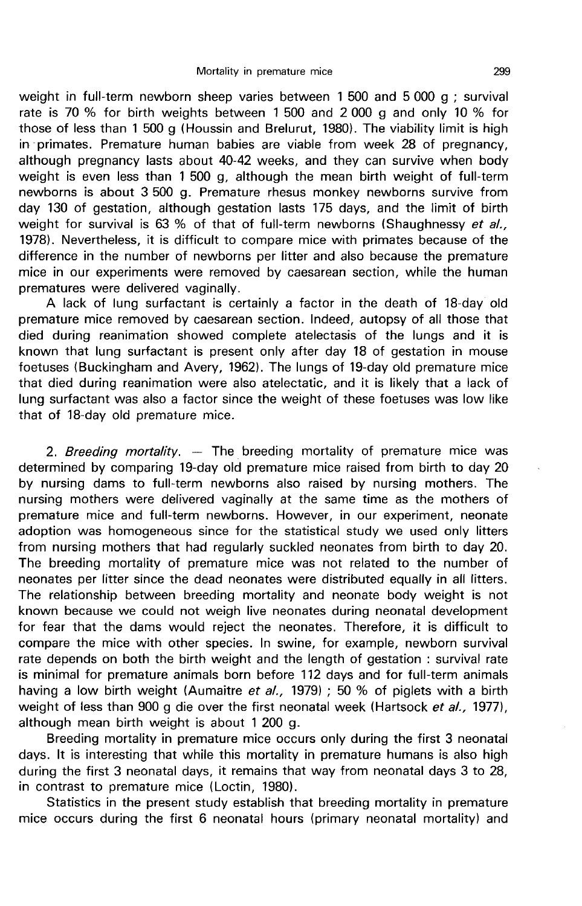weight in full-term newborn sheep varies between 1 500 and 5 000 g ; survival rate is 70 % for birth weights between 1 500 and 2 000 g and only 10 % for those of less than 1 500 g (Houssin and Brelurut, 1980). The viability limit is high in -primates. Premature human babies are viable from week 28 of pregnancy, although pregnancy lasts about 40-42 weeks, and they can survive when body weight is even less than 1 500 g, although the mean birth weight of full-term newborns is about 3 500 g. Premature rhesus monkey newborns survive from day 130 of gestation, although gestation lasts 175 days, and the limit of birth weight for survival is 63 % of that of full-term newborns (Shaughnessy et al., 1978). Nevertheless, it is difficult to compare mice with primates because of the difference in the number of newborns per litter and also because the premature mice in our experiments were removed by caesarean section, while the human prematures were delivered vaginally.

A lack of lung surfactant is certainly a factor in the death of 18-day old premature mice removed by caesarean section. Indeed, autopsy of all those that died during reanimation showed complete atelectasis of the lungs and it is known that lung surfactant is present only after day 18 of gestation in mouse foetuses (Buckingham and Avery, 1962). The lungs of 19-day old premature mice that died during reanimation were also atelectatic, and it is likely that a lack of lung surfactant was also a factor since the weight of these foetuses was low like that of 18-day old premature mice.

2. Breeding mortality. — The breeding mortality of premature mice was determined by comparing 19-day old premature mice raised from birth to day 20 by nursing dams to full-term newborns also raised by nursing mothers. The nursing mothers were delivered vaginally at the same time as the mothers of premature mice and full-term newborns. However, in our experiment, neonate adoption was homogeneous since for the statistical study we used only litters from nursing mothers that had regularly suckled neonates from birth to day 20. The breeding mortality of premature mice was not related to the number of neonates per litter since the dead neonates were distributed equally in all litters. The relationship between breeding mortality and neonate body weight is not known because we could not weigh live neonates during neonatal development for fear that the dams would reject the neonates. Therefore, it is difficult to compare the mice with other species. In swine, for example, newborn survival rate depends on both the birth weight and the length of gestation : survival rate is minimal for premature animals born before 112 days and for full-term animals having a low birth weight (Aumaitre et al., 1979) ; 50 % of piglets with a birth weight of less than 900 g die over the first neonatal week (Hartsock et al., 1977), although mean birth weight is about 1 200 g.

Breeding mortality in premature mice occurs only during the first 3 neonatal days. It is interesting that while this mortality in premature humans is also high during the first 3 neonatal days, it remains that way from neonatal days 3 to 28, in contrast to premature mice (Loctin, 1980).

Statistics in the present study establish that breeding mortality in premature mice occurs during the first 6 neonatal hours (primary neonatal mortality) and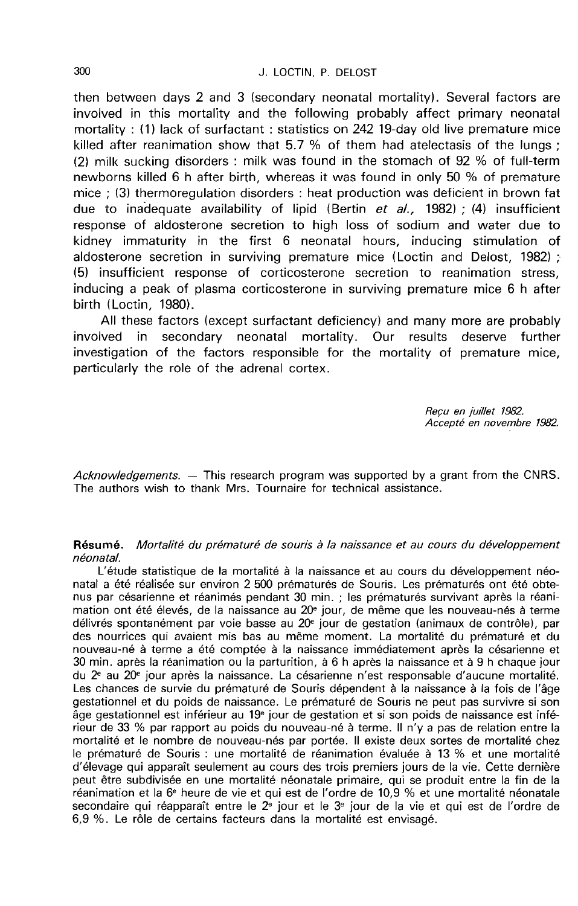then between days 2 and 3 (secondary neonatal mortality). Several factors are involved in this mortality and the following probably affect primary neonatal mortality : (1) lack of surfactant : statistics on 242 19-day old live premature mice killed after reanimation show that 5.7 % of them had atelectasis of the lungs ; (2) milk sucking disorders : milk was found in the stomach of 92 % of full-term newborns killed 6 h after birth, whereas it was found in only 50 % of premature mice ; (3) thermoregulation disorders : heat production was deficient in brown fat due to inadequate availability of lipid (Bertin et al., 1982) ; (4) insufficient response of aldosterone secretion to high loss of sodium and water due to kidney immaturity in the first 6 neonatal hours, inducing stimulation of aldosterone secretion in surviving premature mice (Loctin and Delost, 1982) ; (5) insufficient response of corticosterone secretion to reanimation stress, inducing a peak of plasma corticosterone in surviving premature mice 6 h after birth (Loctin, 1980).

All these factors (except surfactant deficiency) and many more are probably<br>lved in secondary neonatal mortality. Our results deserve further involved in secondary neonatal mortality. Our results investigation of the factors responsible for the mortality of premature mice, particularly the role of the adrenal cortex.

> Reçu en juillet 1982. Accepte en novembre 1982.

Acknowledgements.  $-$  This research program was supported by a grant from the CNRS. The authors wish to thank Mrs. Tournaire for technical assistance.

Résumé. Mortalité du prématuré de souris à la naissance et au cours du développement néonatal.

L'étude statistique de la mortalité à la naissance et au cours du développement néonatal a été réalisée sur environ 2 500 prématurés de Souris. Les prématurés ont été obtenus par césarienne et réanimés pendant 30 min. ; les prématurés survivant après la réanimation ont été élevés, de la naissance au 20<sup>e</sup> jour, de même que les nouveau-nés à terme délivrés spontanément par voie basse au 20e jour de gestation (animaux de contrôle), par des nourrices qui avaient mis bas au même moment. La mortalité du prématuré et du nouveau-né à terme a été comptée à la naissance immédiatement après la césarienne et 30 min. après la réanimation ou la parturition, à 6 h après la naissance et à 9 h chaque jour du 2e au 20e jour après la naissance. La césarienne n'est responsable d'aucune mortalité. Les chances de survie du prématuré de Souris dépendent à la naissance à la fois de l'âge gestationnel et du poids de naissance. Le prématuré de Souris ne peut pas survivre si son âge gestationnel est inférieur au 19<sup>e</sup> jour de gestation et si son poids de naissance est inférieur de 33 % par rapport au poids du nouveau-né à terme. Il n'y a pas de relation entre la mortalité et le nombre de nouveau-nés par portée. Il existe deux sortes de mortalité chez le prématuré de Souris : une mortalité de réanimation évaluée à 13 % et une mortalité d'élevage qui apparaît seulement au cours des trois premiers jours de la vie. Cette dernière peut être subdivisée en une mortalité néonatale primaire, qui se produit entre la fin de la réanimation et la 6<sup>e</sup> heure de vie et qui est de l'ordre de 10,9 % et une mortalité néonatale secondaire qui réapparaît entre le  $2^e$  jour et le  $3^e$  jour de la vie et qui est de l'ordre de 6,9 %. Le rôle de certains facteurs dans la mortalité est envisagé.